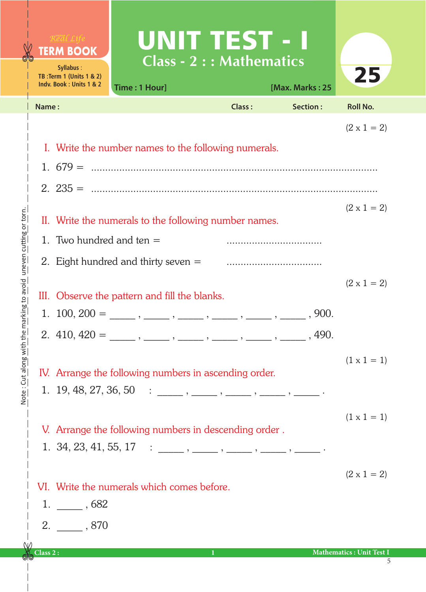## UNIT TEST - I **TERM BOOK Class - 2 : : Mathematics Syllabus** : 25 **TB :Term 1 (Units 1 & 2) Indv. Book : Units 1 & 2 Time : 1 Hour] [Max. Marks : 25 Name : Class : Section : Roll No.**   $(2 \times 1 = 2)$ I. Write the number names to the following numerals. 1. 679 = ...................................................................................................... 2. 235 = ......................................................................................................  $(2 \times 1 = 2)$ Note: Cut along with the marking to avoid uneven cutting or torn. Note : Cut along with the marking to avoid uneven cutting or torn.II. Write the numerals to the following number names. 1. Two hundred and ten = .................................. 2. Eight hundred and thirty seven = ..................................  $(2 \times 1 = 2)$ III. Observe the pattern and fill the blanks. 1.  $100, 200 = \underline{\hspace{1cm}}, \underline{\hspace{1cm}}, \underline{\hspace{1cm}}, \underline{\hspace{1cm}}, \underline{\hspace{1cm}}, \underline{\hspace{1cm}}, \underline{\hspace{1cm}}, \underline{\hspace{1cm}}, \underline{\hspace{1cm}}, \underline{\hspace{1cm}}, \underline{\hspace{1cm}}$ 2.  $410, 420 = \_\_\_\_\_\_\_\_\_\_\_\_\_\_\_\_\_\_\_\_$  $(1 \times 1 = 1)$ IV. Arrange the following numbers in ascending order. 1. 19, 48, 27, 36, 50 : \_\_\_\_\_ , \_\_\_\_\_ , \_\_\_\_\_ , \_\_\_\_\_ , \_\_\_\_\_ .  $(1 \times 1 = 1)$ V. Arrange the following numbers in descending order . 1. 34, 23, 41, 55, 17 : \_\_\_\_\_ , \_\_\_\_\_ , \_\_\_\_\_ , \_\_\_\_\_ , \_\_\_\_\_ .  $(2 \times 1 = 2)$ VI. Write the numerals which comes before. 1. \_\_\_\_\_ , 682 2. \_\_\_\_\_ , 870 **Class 2 : 1 Mathematics : Unit Test I** 5